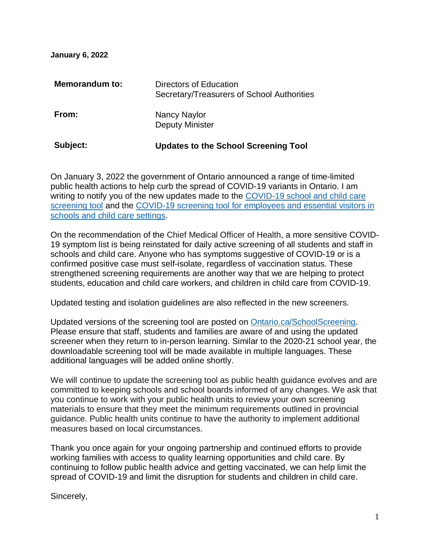**January 6, 2022**

| Subject:              | <b>Updates to the School Screening Tool</b>                          |
|-----------------------|----------------------------------------------------------------------|
| From:                 | Nancy Naylor<br><b>Deputy Minister</b>                               |
| <b>Memorandum to:</b> | Directors of Education<br>Secretary/Treasurers of School Authorities |

On January 3, 2022 the government of Ontario announced a range of time-limited public health actions to help curb the spread of COVID-19 variants in Ontario. I am writing to notify you of the new updates made to the COVID-19 school and child care [screening tool](https://covid-19.ontario.ca/covid19-cms-assets/2022-01/COVID_screening_Student_Child%20Care_Jan6_AODA.pdf) and the [COVID-19 screening tool for employees and essential visitors in](https://covid-19.ontario.ca/covid19-cms-assets/2022-01/COVID_screening_Staffs_Visitors_Jan6_AODA.pdf)  [schools and child care settings.](https://covid-19.ontario.ca/covid19-cms-assets/2022-01/COVID_screening_Staffs_Visitors_Jan6_AODA.pdf)

On the recommendation of the Chief Medical Officer of Health, a more sensitive COVID-19 symptom list is being reinstated for daily active screening of all students and staff in schools and child care. Anyone who has symptoms suggestive of COVID-19 or is a confirmed positive case must self-isolate, regardless of vaccination status. These strengthened screening requirements are another way that we are helping to protect students, education and child care workers, and children in child care from COVID-19.

Updated testing and isolation guidelines are also reflected in the new screeners.

Updated versions of the screening tool are posted on [Ontario.ca/SchoolScreening.](https://covid-19.ontario.ca/school-screening/) Please ensure that staff, students and families are aware of and using the updated screener when they return to in-person learning. Similar to the 2020-21 school year, the downloadable screening tool will be made available in multiple languages. These additional languages will be added online shortly.

We will continue to update the screening tool as public health guidance evolves and are committed to keeping schools and school boards informed of any changes. We ask that you continue to work with your public health units to review your own screening materials to ensure that they meet the minimum requirements outlined in provincial guidance. Public health units continue to have the authority to implement additional measures based on local circumstances.

Thank you once again for your ongoing partnership and continued efforts to provide working families with access to quality learning opportunities and child care. By continuing to follow public health advice and getting vaccinated, we can help limit the spread of COVID-19 and limit the disruption for students and children in child care.

Sincerely,